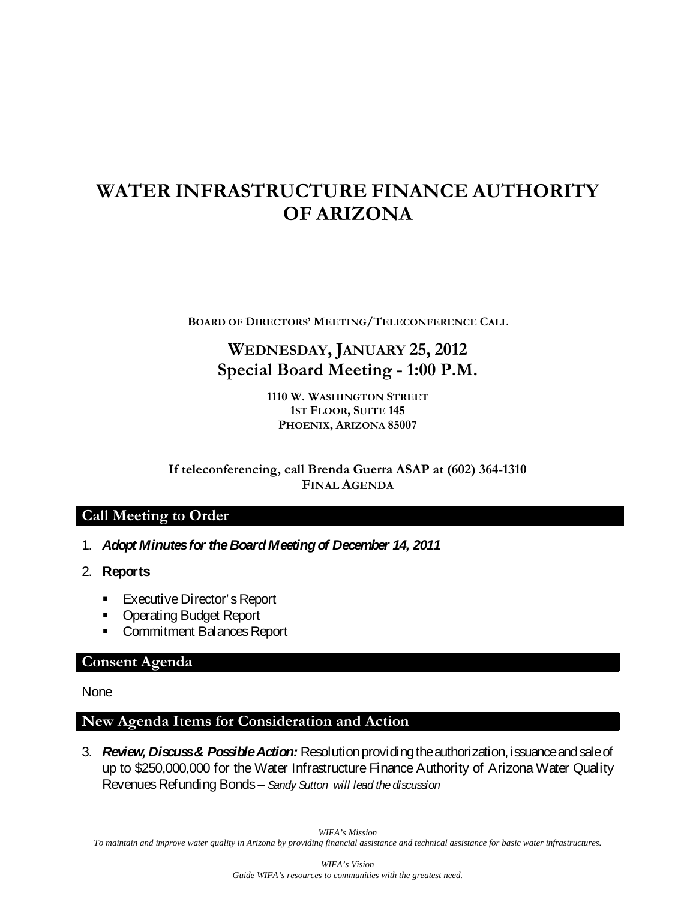# **WATER INFRASTRUCTURE FINANCE AUTHORITY OF ARIZONA**

**BOARD OF DIRECTORS' MEETING/TELECONFERENCE CALL**

## **WEDNESDAY, JANUARY 25, 2012 Special Board Meeting - 1:00 P.M.**

**1110 W. WASHINGTON STREET 1ST FLOOR, SUITE 145 PHOENIX, ARIZONA 85007**

**If teleconferencing, call Brenda Guerra ASAP at (602) 364-1310 FINAL AGENDA**

#### **Call Meeting to Order**

- 1. *Adopt Minutes for the Board Meeting of December 14, 2011*
- 2. **Reports**
	- **Executive Director's Report**
	- **Operating Budget Report**
	- **Commitment Balances Report**

#### **Consent Agenda**

None

#### **New Agenda Items for Consideration and Action**

3. *Review, Discuss & Possible Action:* Resolution providing the authorization, issuance and sale of up to \$250,000,000 for the Water Infrastructure Finance Authority of Arizona Water Quality Revenues Refunding Bonds – *Sandy Sutton will lead the discussion* 

*WIFA's Mission*

*To maintain and improve water quality in Arizona by providing financial assistance and technical assistance for basic water infrastructures.*